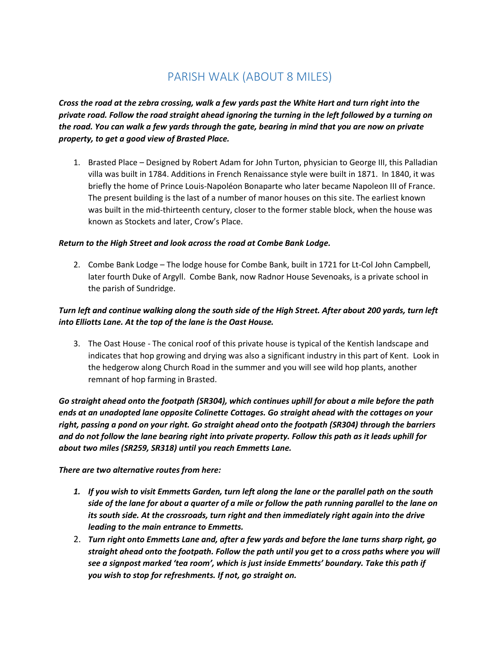# PARISH WALK (ABOUT 8 MILES)

*Cross the road at the zebra crossing, walk a few yards past the White Hart and turn right into the private road. Follow the road straight ahead ignoring the turning in the left followed by a turning on the road. You can walk a few yards through the gate, bearing in mind that you are now on private property, to get a good view of Brasted Place.*

1. Brasted Place – Designed by Robert Adam for John Turton, physician to George III, this Palladian villa was built in 1784. Additions in French Renaissance style were built in 1871. In 1840, it was briefly the home of Prince Louis-Napoléon Bonaparte who later became Napoleon III of France. The present building is the last of a number of manor houses on this site. The earliest known was built in the mid-thirteenth century, closer to the former stable block, when the house was known as Stockets and later, Crow's Place.

#### *Return to the High Street and look across the road at Combe Bank Lodge.*

2. Combe Bank Lodge – The lodge house for Combe Bank, built in 1721 for Lt-Col John Campbell, later fourth Duke of Argyll. Combe Bank, now Radnor House Sevenoaks, is a private school in the parish of Sundridge.

# *Turn left and continue walking along the south side of the High Street. After about 200 yards, turn left into Elliotts Lane. At the top of the lane is the Oast House.*

3. The Oast House - The conical roof of this private house is typical of the Kentish landscape and indicates that hop growing and drying was also a significant industry in this part of Kent. Look in the hedgerow along Church Road in the summer and you will see wild hop plants, another remnant of hop farming in Brasted.

*Go straight ahead onto the footpath (SR304), which continues uphill for about a mile before the path ends at an unadopted lane opposite Colinette Cottages. Go straight ahead with the cottages on your right, passing a pond on your right. Go straight ahead onto the footpath (SR304) through the barriers and do not follow the lane bearing right into private property. Follow this path as it leads uphill for about two miles (SR259, SR318) until you reach Emmetts Lane.* 

*There are two alternative routes from here:*

- *1. If you wish to visit Emmetts Garden, turn left along the lane or the parallel path on the south side of the lane for about a quarter of a mile or follow the path running parallel to the lane on its south side. At the crossroads, turn right and then immediately right again into the drive leading to the main entrance to Emmetts.*
- 2. *Turn right onto Emmetts Lane and, after a few yards and before the lane turns sharp right, go straight ahead onto the footpath. Follow the path until you get to a cross paths where you will see a signpost marked 'tea room', which is just inside Emmetts' boundary. Take this path if you wish to stop for refreshments. If not, go straight on.*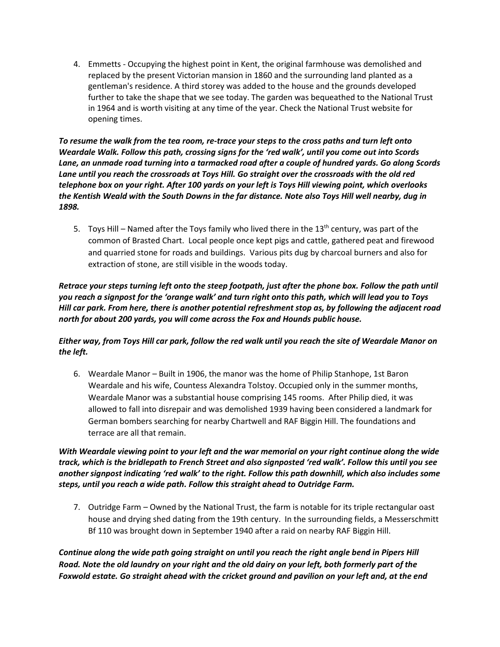4. Emmetts - Occupying the highest point in Kent, the original farmhouse was demolished and replaced by the present Victorian mansion in 1860 and the surrounding land planted as a gentleman's residence. A third storey was added to the house and the grounds developed further to take the shape that we see today. The garden was bequeathed to the National Trust in 1964 and is worth visiting at any time of the year. Check the National Trust website for opening times.

*To resume the walk from the tea room, re-trace your steps to the cross paths and turn left onto Weardale Walk. Follow this path, crossing signs for the 'red walk', until you come out into Scords Lane, an unmade road turning into a tarmacked road after a couple of hundred yards. Go along Scords Lane until you reach the crossroads at Toys Hill. Go straight over the crossroads with the old red telephone box on your right. After 100 yards on your left is Toys Hill viewing point, which overlooks the Kentish Weald with the South Downs in the far distance. Note also Toys Hill well nearby, dug in 1898.*

5. Toys Hill – Named after the Toys family who lived there in the  $13<sup>th</sup>$  century, was part of the common of Brasted Chart. Local people once kept pigs and cattle, gathered peat and firewood and quarried stone for roads and buildings. Various pits dug by charcoal burners and also for extraction of stone, are still visible in the woods today.

### *Retrace your steps turning left onto the steep footpath, just after the phone box. Follow the path until you reach a signpost for the 'orange walk' and turn right onto this path, which will lead you to Toys Hill car park. From here, there is another potential refreshment stop as, by following the adjacent road north for about 200 yards, you will come across the Fox and Hounds public house.*

## *Either way, from Toys Hill car park, follow the red walk until you reach the site of Weardale Manor on the left.*

6. Weardale Manor – Built in 1906, the manor was the home of Philip Stanhope, 1st Baron Weardale and his wife, Countess Alexandra Tolstoy. Occupied only in the summer months, Weardale Manor was a substantial house comprising 145 rooms. After Philip died, it was allowed to fall into disrepair and was demolished 1939 having been considered a landmark for German bombers searching for nearby Chartwell and RAF Biggin Hill. The foundations and terrace are all that remain.

## *With Weardale viewing point to your left and the war memorial on your right continue along the wide track, which is the bridlepath to French Street and also signposted 'red walk'. Follow this until you see another signpost indicating 'red walk' to the right. Follow this path downhill, which also includes some steps, until you reach a wide path. Follow this straight ahead to Outridge Farm.*

7. Outridge Farm – Owned by the National Trust, the farm is notable for its triple rectangular oast house and drying shed dating from the 19th century. In the surrounding fields, a Messerschmitt Bf 110 was brought down in September 1940 after a raid on nearby RAF Biggin Hill.

*Continue along the wide path going straight on until you reach the right angle bend in Pipers Hill Road. Note the old laundry on your right and the old dairy on your left, both formerly part of the Foxwold estate. Go straight ahead with the cricket ground and pavilion on your left and, at the end*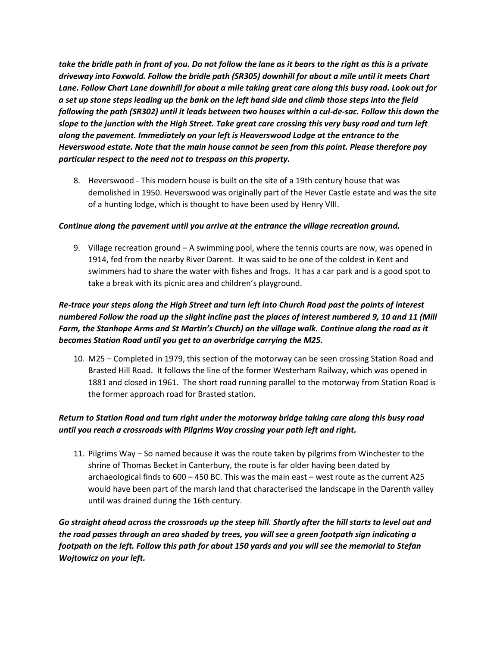*take the bridle path in front of you. Do not follow the lane as it bears to the right as this is a private driveway into Foxwold. Follow the bridle path (SR305) downhill for about a mile until it meets Chart Lane. Follow Chart Lane downhill for about a mile taking great care along this busy road. Look out for a set up stone steps leading up the bank on the left hand side and climb those steps into the field following the path (SR302) until it leads between two houses within a cul-de-sac. Follow this down the slope to the junction with the High Street. Take great care crossing this very busy road and turn left along the pavement. Immediately on your left is Heaverswood Lodge at the entrance to the Heverswood estate. Note that the main house cannot be seen from this point. Please therefore pay particular respect to the need not to trespass on this property.*

8. Heverswood - This modern house is built on the site of a 19th century house that was demolished in 1950. Heverswood was originally part of the Hever Castle estate and was the site of a hunting lodge, which is thought to have been used by Henry VIII.

#### *Continue along the pavement until you arrive at the entrance the village recreation ground.*

9. Village recreation ground – A swimming pool, where the tennis courts are now, was opened in 1914, fed from the nearby River Darent. It was said to be one of the coldest in Kent and swimmers had to share the water with fishes and frogs. It has a car park and is a good spot to take a break with its picnic area and children's playground.

# *Re-trace your steps along the High Street and turn left into Church Road past the points of interest numbered Follow the road up the slight incline past the places of interest numbered 9, 10 and 11 (Mill Farm, the Stanhope Arms and St Martin's Church) on the village walk. Continue along the road as it becomes Station Road until you get to an overbridge carrying the M25.*

10. M25 – Completed in 1979, this section of the motorway can be seen crossing Station Road and Brasted Hill Road. It follows the line of the former Westerham Railway, which was opened in 1881 and closed in 1961. The short road running parallel to the motorway from Station Road is the former approach road for Brasted station.

## *Return to Station Road and turn right under the motorway bridge taking care along this busy road until you reach a crossroads with Pilgrims Way crossing your path left and right.*

11. Pilgrims Way – So named because it was the route taken by pilgrims from Winchester to the shrine of Thomas Becket in Canterbury, the route is far older having been dated by archaeological finds to 600 – 450 BC. This was the main east – west route as the current A25 would have been part of the marsh land that characterised the landscape in the Darenth valley until was drained during the 16th century.

*Go straight ahead across the crossroads up the steep hill. Shortly after the hill starts to level out and the road passes through an area shaded by trees, you will see a green footpath sign indicating a footpath on the left. Follow this path for about 150 yards and you will see the memorial to Stefan Wojtowicz on your left.*